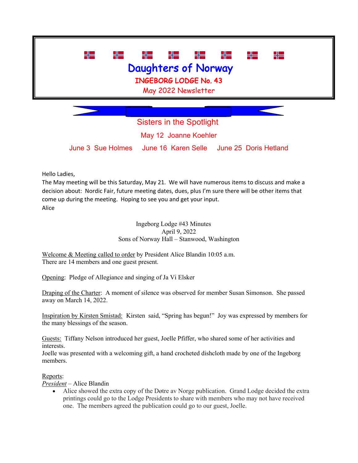

Sisters in the Spotlight May 12 Joanne Koehler June 3 Sue Holmes June 16 Karen Selle June 25 Doris Hetland

Hello Ladies,

The May meeting will be this Saturday, May 21. We will have numerous items to discuss and make a decision about: Nordic Fair, future meeting dates, dues, plus I'm sure there will be other items that come up during the meeting. Hoping to see you and get your input. Alice

> Ingeborg Lodge #43 Minutes April 9, 2022 Sons of Norway Hall – Stanwood, Washington

Welcome & Meeting called to order by President Alice Blandin 10:05 a.m. There are 14 members and one guest present.

Opening: Pledge of Allegiance and singing of Ja Vi Elsker

Draping of the Charter: A moment of silence was observed for member Susan Simonson. She passed away on March 14, 2022.

Inspiration by Kirsten Smistad: Kirsten said, "Spring has begun!" Joy was expressed by members for the many blessings of the season.

Guests: Tiffany Nelson introduced her guest, Joelle Pfiffer, who shared some of her activities and interests.

Joelle was presented with a welcoming gift, a hand crocheted dishcloth made by one of the Ingeborg members.

## Reports:

*President* – Alice Blandin

• Alice showed the extra copy of the Døtre av Norge publication. Grand Lodge decided the extra printings could go to the Lodge Presidents to share with members who may not have received one. The members agreed the publication could go to our guest, Joelle.